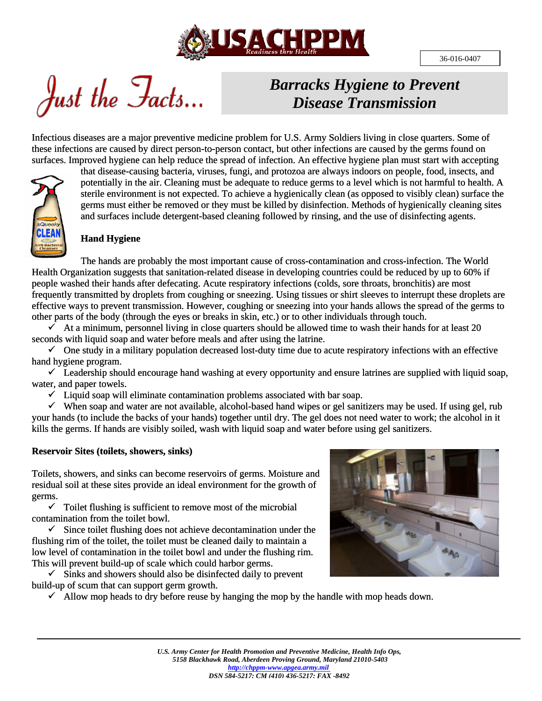

Just the Facts...

# *Barracks Hygiene to Prevent Disease Transmission*

Infectious diseases are a major preventive medicine problem for U.S. Army Soldiers living in close quarters. Some of these infections are caused by direct person-to-person contact, but other infections are caused by the germs found on surfaces. Improved hygiene can help reduce the spread of infection. An effective hygiene plan must start with accepting



that disease-causing bacteria, viruses, fungi, and protozoa are always indoors on people, food, insects, and potentially in the air. Cleaning must be adequate to reduce germs to a level which is not harmful to health. A sterile environment is not expected. To achieve a hygienically clean (as opposed to visibly clean) surface the germs must either be removed or they must be killed by disinfection. Methods of hygienically cleaning sites and surfaces include detergent-based cleaning followed by rinsing, and the use of disinfecting agents.

# **Hand Hygiene**

The hands are probably the most important cause of cross-contamination and cross-infection. The World Health Organization suggests that sanitation-related disease in developing countries could be reduced by up to 60% if people washed their hands after defecating. Acute respiratory infections (colds, sore throats, bronchitis) are most frequently transmitted by droplets from coughing or sneezing. Using tissues or shirt sleeves to interrupt these droplets are effective ways to prevent transmission. However, coughing or sneezing into your hands allows the spread of the germs to other parts of the body (through the eyes or breaks in skin, etc.) or to other individuals through touch.

 $\checkmark$  At a minimum, personnel living in close quarters should be allowed time to wash their hands for at least 20 seconds with liquid soap and water before meals and after using the latrine.

 $\checkmark$  One study in a military population decreased lost-duty time due to acute respiratory infections with an effective hand hygiene program.

 $\checkmark$  Leadership should encourage hand washing at every opportunity and ensure latrines are supplied with liquid soap, water, and paper towels.

 $\checkmark$  Liquid soap will eliminate contamination problems associated with bar soap.

 $\checkmark$  When soap and water are not available, alcohol-based hand wipes or gel sanitizers may be used. If using gel, rub your hands (to include the backs of your hands) together until dry. The gel does not need water to work; the alcohol in it kills the germs. If hands are visibly soiled, wash with liquid soap and water before using gel sanitizers.

#### **Reservoir Sites (toilets, showers, sinks)**

Toilets, showers, and sinks can become reservoirs of germs. Moisture and residual soil at these sites provide an ideal environment for the growth of germs.

 $\checkmark$  Toilet flushing is sufficient to remove most of the microbial contamination from the toilet bowl.

 $\checkmark$  Since toilet flushing does not achieve decontamination under the flushing rim of the toilet, the toilet must be cleaned daily to maintain a low level of contamination in the toilet bowl and under the flushing rim. This will prevent build-up of scale which could harbor germs.

 $\checkmark$  Sinks and showers should also be disinfected daily to prevent build-up of scum that can support germ growth.

 $\checkmark$  Allow mop heads to dry before reuse by hanging the mop by the handle with mop heads down.